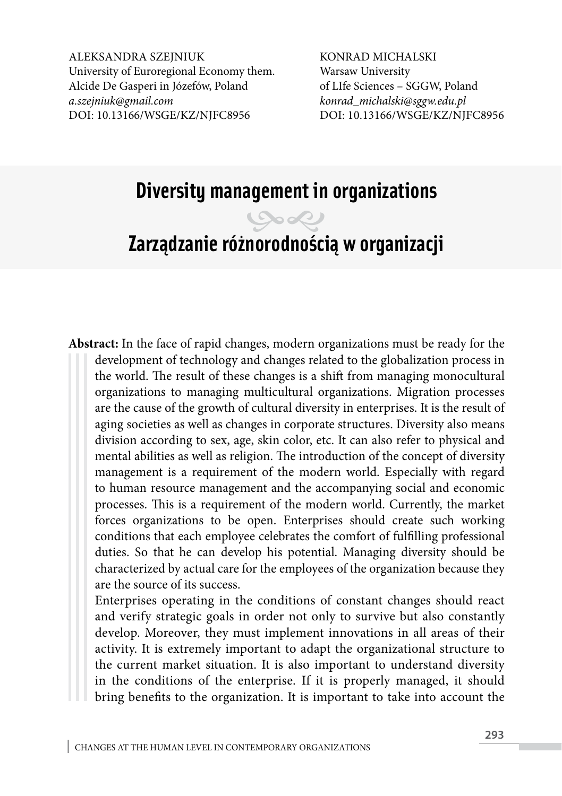ALEKSANDRA SZEINIUK University of Euroregional Economy them. Alcide De Gasperi in Józefów, Poland *[a.szejniuk@gmail.com](mailto:a.szejniuk@gmail.com)* DOI: 10.13166/WSGE/KZ/NJFC8956

KONRAD MICHALSKI Warsaw University of LIfe Sciences – SGGW, Poland *konrad\_michalski@sggw.edu.pl* DOI: 10.13166/WSGE/KZ/NJFC8956

# **Diversity management in organizations**

## **Zarządzanie różnorodnością w organizacji**

**Abstract:** In the face of rapid changes, modern organizations must be ready for the development of technology and changes related to the globalization process in the world. The result of these changes is a shift from managing monocultural organizations to managing multicultural organizations. Migration processes are the cause of the growth of cultural diversity in enterprises. It is the result of aging societies as well as changes in corporate structures. Diversity also means division according to sex, age, skin color, etc. It can also refer to physical and mental abilities as well as religion. The introduction of the concept of diversity management is a requirement of the modern world. Especially with regard to human resource management and the accompanying social and economic processes. This is a requirement of the modern world. Currently, the market forces organizations to be open. Enterprises should create such working conditions that each employee celebrates the comfort of fulfilling professional duties. So that he can develop his potential. Managing diversity should be characterized by actual care for the employees of the organization because they are the source of its success.

Enterprises operating in the conditions of constant changes should react and verify strategic goals in order not only to survive but also constantly develop. Moreover, they must implement innovations in all areas of their activity. It is extremely important to adapt the organizational structure to the current market situation. It is also important to understand diversity in the conditions of the enterprise. If it is properly managed, it should bring benefits to the organization. It is important to take into account the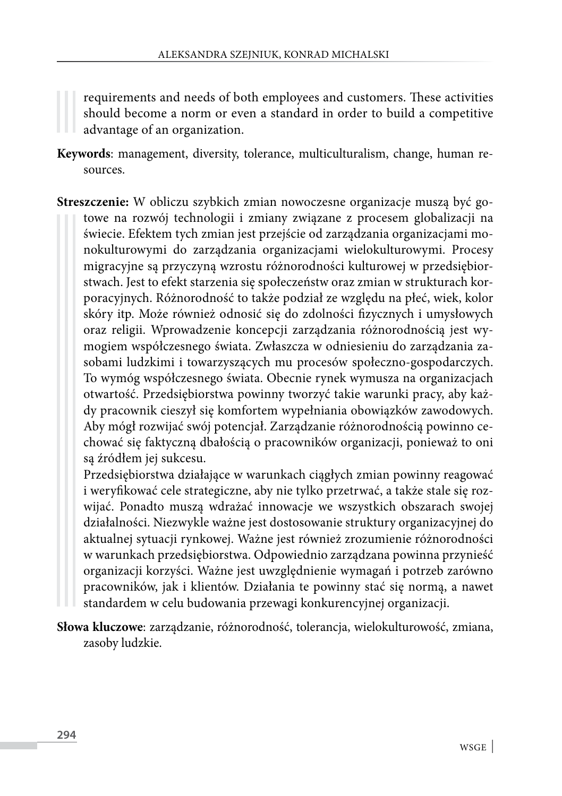requirements and needs of both employees and customers. These activities should become a norm or even a standard in order to build a competitive advantage of an organization.

- **Keywords**: management, diversity, tolerance, multiculturalism, change, human resources.
- **Streszczenie:** W obliczu szybkich zmian nowoczesne organizacje muszą być gotowe na rozwój technologii i zmiany związane z procesem globalizacji na świecie. Efektem tych zmian jest przejście od zarządzania organizacjami monokulturowymi do zarządzania organizacjami wielokulturowymi. Procesy migracyjne są przyczyną wzrostu różnorodności kulturowej w przedsiębiorstwach. Jest to efekt starzenia się społeczeństw oraz zmian w strukturach korporacyjnych. Różnorodność to także podział ze względu na płeć, wiek, kolor skóry itp. Może również odnosić się do zdolności fizycznych i umysłowych oraz religii. Wprowadzenie koncepcji zarządzania różnorodnością jest wymogiem współczesnego świata. Zwłaszcza w odniesieniu do zarządzania zasobami ludzkimi i towarzyszących mu procesów społeczno-gospodarczych. To wymóg współczesnego świata. Obecnie rynek wymusza na organizacjach otwartość. Przedsiębiorstwa powinny tworzyć takie warunki pracy, aby każdy pracownik cieszył się komfortem wypełniania obowiązków zawodowych. Aby mógł rozwijać swój potencjał. Zarządzanie różnorodnością powinno cechować się faktyczną dbałością o pracowników organizacji, ponieważ to oni są źródłem jej sukcesu.

Przedsiębiorstwa działające w warunkach ciągłych zmian powinny reagować i weryfikować cele strategiczne, aby nie tylko przetrwać, a także stale się rozwijać. Ponadto muszą wdrażać innowacje we wszystkich obszarach swojej działalności. Niezwykle ważne jest dostosowanie struktury organizacyjnej do aktualnej sytuacji rynkowej. Ważne jest również zrozumienie różnorodności w warunkach przedsiębiorstwa. Odpowiednio zarządzana powinna przynieść organizacji korzyści. Ważne jest uwzględnienie wymagań i potrzeb zarówno pracowników, jak i klientów. Działania te powinny stać się normą, a nawet standardem w celu budowania przewagi konkurencyjnej organizacji.

**Słowa kluczowe**: zarządzanie, różnorodność, tolerancja, wielokulturowość, zmiana, zasoby ludzkie.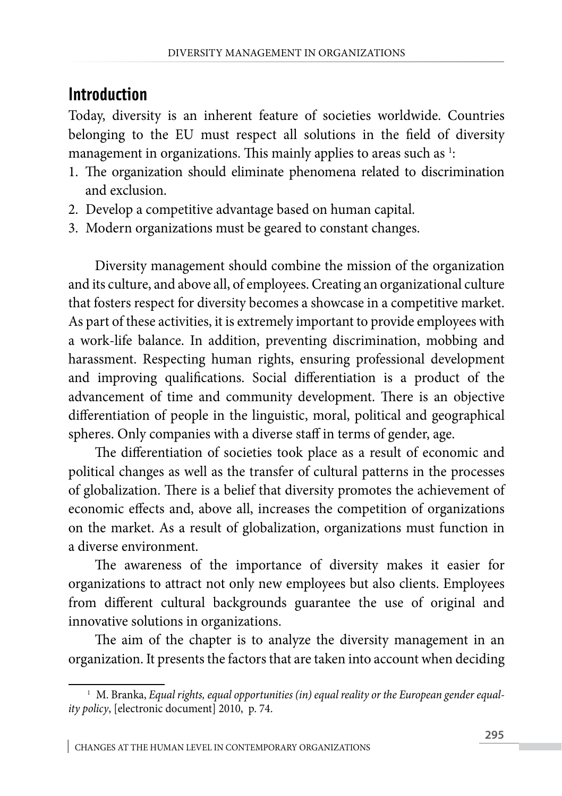#### **Introduction**

Today, diversity is an inherent feature of societies worldwide. Countries belonging to the EU must respect all solutions in the field of diversity management in organizations. This mainly applies to areas such as  $^1$ :

- 1. The organization should eliminate phenomena related to discrimination and exclusion.
- 2. Develop a competitive advantage based on human capital.
- 3. Modern organizations must be geared to constant changes.

Diversity management should combine the mission of the organization and its culture, and above all, of employees. Creating an organizational culture that fosters respect for diversity becomes a showcase in a competitive market. As part of these activities, it is extremely important to provide employees with a work-life balance. In addition, preventing discrimination, mobbing and harassment. Respecting human rights, ensuring professional development and improving qualifications. Social differentiation is a product of the advancement of time and community development. There is an objective differentiation of people in the linguistic, moral, political and geographical spheres. Only companies with a diverse staff in terms of gender, age.

The differentiation of societies took place as a result of economic and political changes as well as the transfer of cultural patterns in the processes of globalization. There is a belief that diversity promotes the achievement of economic effects and, above all, increases the competition of organizations on the market. As a result of globalization, organizations must function in a diverse environment.

The awareness of the importance of diversity makes it easier for organizations to attract not only new employees but also clients. Employees from different cultural backgrounds guarantee the use of original and innovative solutions in organizations.

The aim of the chapter is to analyze the diversity management in an organization. It presents the factors that are taken into account when deciding

<sup>&</sup>lt;sup>1</sup> M. Branka, *Equal rights, equal opportunities (in) equal reality or the European gender equality policy*, [electronic document] 2010, p. 74.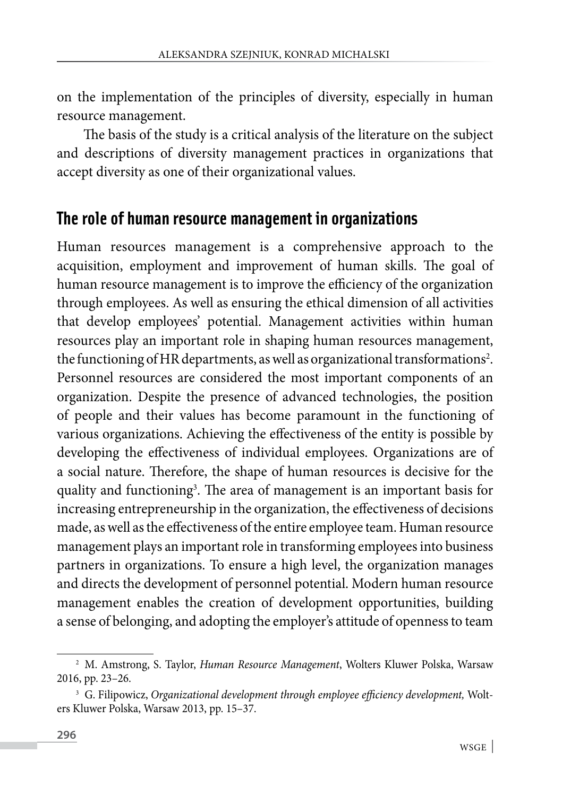on the implementation of the principles of diversity, especially in human resource management.

The basis of the study is a critical analysis of the literature on the subject and descriptions of diversity management practices in organizations that accept diversity as one of their organizational values.

#### **The role of human resource management in organizations**

Human resources management is a comprehensive approach to the acquisition, employment and improvement of human skills. The goal of human resource management is to improve the efficiency of the organization through employees. As well as ensuring the ethical dimension of all activities that develop employees' potential. Management activities within human resources play an important role in shaping human resources management, the functioning of HR departments, as well as organizational transformations<sup>2</sup>. Personnel resources are considered the most important components of an organization. Despite the presence of advanced technologies, the position of people and their values has become paramount in the functioning of various organizations. Achieving the effectiveness of the entity is possible by developing the effectiveness of individual employees. Organizations are of a social nature. Therefore, the shape of human resources is decisive for the quality and functioning<sup>3</sup>. The area of management is an important basis for increasing entrepreneurship in the organization, the effectiveness of decisions made, as well as the effectiveness of the entire employee team. Human resource management plays an important role in transforming employees into business partners in organizations. To ensure a high level, the organization manages and directs the development of personnel potential. Modern human resource management enables the creation of development opportunities, building a sense of belonging, and adopting the employer's attitude of openness to team

<sup>2</sup> M. Amstrong, S. Taylor, *Human Resource Management*, Wolters Kluwer Polska, Warsaw 2016, pp. 23–26.

<sup>3</sup> G. Filipowicz, *Organizational development through employee efficiency development,* Wolters Kluwer Polska, Warsaw 2013, pp. 15–37.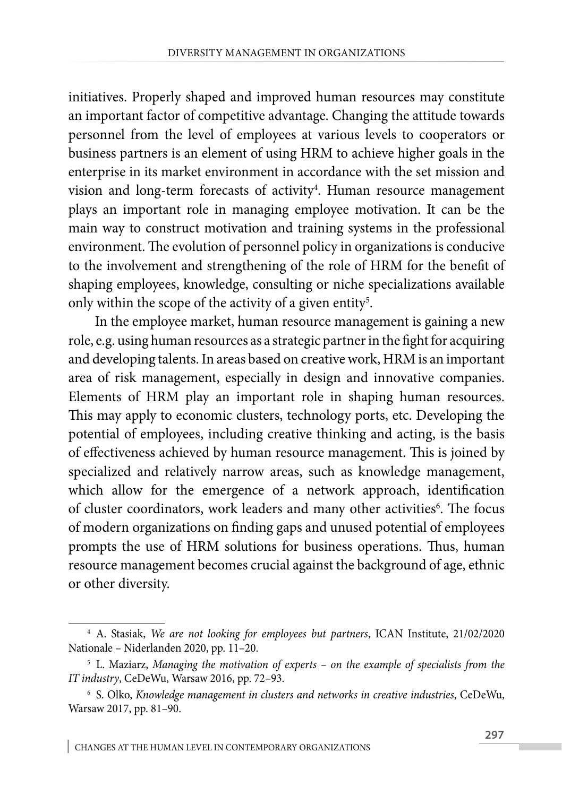initiatives. Properly shaped and improved human resources may constitute an important factor of competitive advantage. Changing the attitude towards personnel from the level of employees at various levels to cooperators or business partners is an element of using HRM to achieve higher goals in the enterprise in its market environment in accordance with the set mission and vision and long-term forecasts of activity<sup>4</sup>. Human resource management plays an important role in managing employee motivation. It can be the main way to construct motivation and training systems in the professional environment. The evolution of personnel policy in organizations is conducive to the involvement and strengthening of the role of HRM for the benefit of shaping employees, knowledge, consulting or niche specializations available only within the scope of the activity of a given entity<sup>5</sup>.

In the employee market, human resource management is gaining a new role, e.g. using human resources as a strategic partner in the fight for acquiring and developing talents. In areas based on creative work, HRM is an important area of risk management, especially in design and innovative companies. Elements of HRM play an important role in shaping human resources. This may apply to economic clusters, technology ports, etc. Developing the potential of employees, including creative thinking and acting, is the basis of effectiveness achieved by human resource management. This is joined by specialized and relatively narrow areas, such as knowledge management, which allow for the emergence of a network approach, identification of cluster coordinators, work leaders and many other activities<sup>6</sup>. The focus of modern organizations on finding gaps and unused potential of employees prompts the use of HRM solutions for business operations. Thus, human resource management becomes crucial against the background of age, ethnic or other diversity.

<sup>4</sup> A. Stasiak, *We are not looking for employees but partners*, ICAN Institute, 21/02/2020 Nationale – Niderlanden 2020, pp. 11–20.

<sup>5</sup> L. Maziarz, *Managing the motivation of experts – on the example of specialists from the IT industry*, CeDeWu, Warsaw 2016, pp. 72–93.

<sup>6</sup> S. Olko, *Knowledge management in clusters and networks in creative industries*, CeDeWu, Warsaw 2017, pp. 81–90.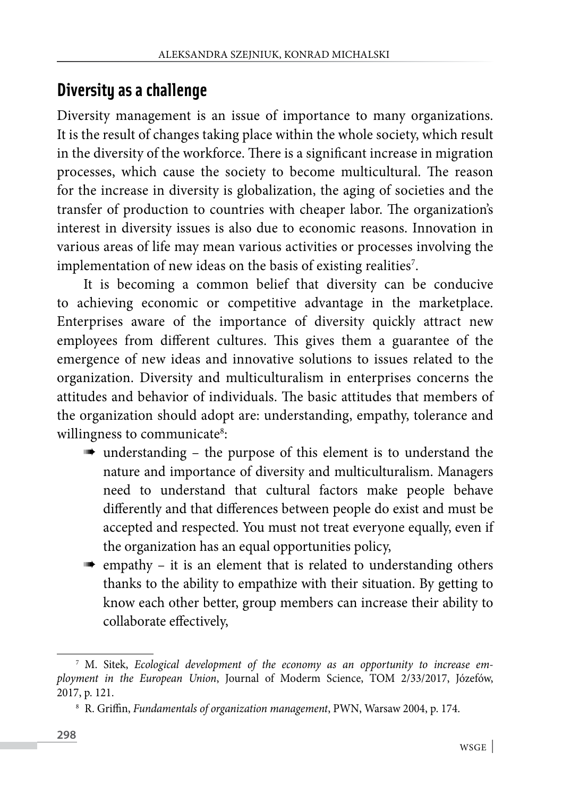#### **Diversity as a challenge**

Diversity management is an issue of importance to many organizations. It is the result of changes taking place within the whole society, which result in the diversity of the workforce. There is a significant increase in migration processes, which cause the society to become multicultural. The reason for the increase in diversity is globalization, the aging of societies and the transfer of production to countries with cheaper labor. The organization's interest in diversity issues is also due to economic reasons. Innovation in various areas of life may mean various activities or processes involving the implementation of new ideas on the basis of existing realities $\mathfrak{z}.$ 

It is becoming a common belief that diversity can be conducive to achieving economic or competitive advantage in the marketplace. Enterprises aware of the importance of diversity quickly attract new employees from different cultures. This gives them a guarantee of the emergence of new ideas and innovative solutions to issues related to the organization. Diversity and multiculturalism in enterprises concerns the attitudes and behavior of individuals. The basic attitudes that members of the organization should adopt are: understanding, empathy, tolerance and willingness to communicate<sup>8</sup>:

- understanding the purpose of this element is to understand the nature and importance of diversity and multiculturalism. Managers need to understand that cultural factors make people behave differently and that differences between people do exist and must be accepted and respected. You must not treat everyone equally, even if the organization has an equal opportunities policy,
- $\blacksquare$  empathy it is an element that is related to understanding others thanks to the ability to empathize with their situation. By getting to know each other better, group members can increase their ability to collaborate effectively,

<sup>7</sup> M. Sitek, *Ecological development of the economy as an opportunity to increase employment in the European Union*, Journal of Moderm Science, TOM 2/33/2017, Józefów, 2017, p. 121.

<sup>8</sup> R. Griffin, *Fundamentals of organization management*, PWN, Warsaw 2004, p. 174.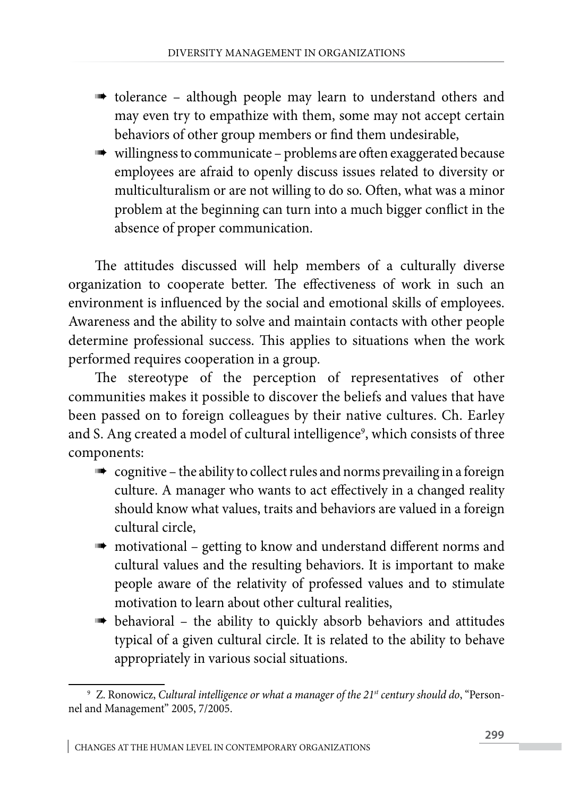- **the team** to understand others and  $\mathbf{r}$ may even try to empathize with them, some may not accept certain behaviors of other group members or find them undesirable,
- $\blacksquare$  willingness to communicate problems are often exaggerated because employees are afraid to openly discuss issues related to diversity or multiculturalism or are not willing to do so. Often, what was a minor problem at the beginning can turn into a much bigger conflict in the absence of proper communication.

The attitudes discussed will help members of a culturally diverse organization to cooperate better. The effectiveness of work in such an environment is influenced by the social and emotional skills of employees. Awareness and the ability to solve and maintain contacts with other people determine professional success. This applies to situations when the work performed requires cooperation in a group.

The stereotype of the perception of representatives of other communities makes it possible to discover the beliefs and values that have been passed on to foreign colleagues by their native cultures. Ch. Earley and S. Ang created a model of cultural intelligence<sup>9</sup>, which consists of three components:

- $\blacksquare$  cognitive the ability to collect rules and norms prevailing in a foreign culture. A manager who wants to act effectively in a changed reality should know what values, traits and behaviors are valued in a foreign cultural circle,
- $\blacksquare$  motivational getting to know and understand different norms and cultural values and the resulting behaviors. It is important to make people aware of the relativity of professed values and to stimulate motivation to learn about other cultural realities,
- behavioral the ability to quickly absorb behaviors and attitudes typical of a given cultural circle. It is related to the ability to behave appropriately in various social situations.

<sup>9</sup> Z. Ronowicz, *Cultural intelligence or what a manager of the 21st century should do*, "Personnel and Management" 2005, 7/2005.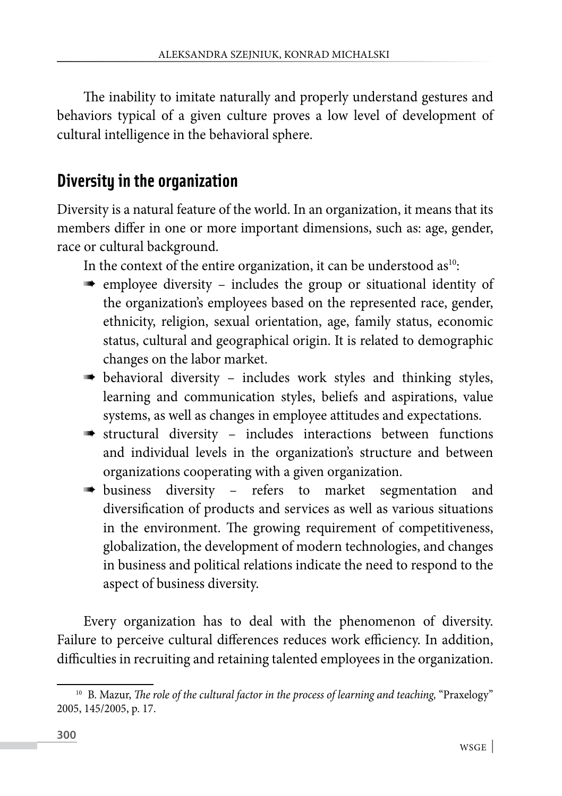The inability to imitate naturally and properly understand gestures and behaviors typical of a given culture proves a low level of development of cultural intelligence in the behavioral sphere.

#### **Diversity in the organization**

Diversity is a natural feature of the world. In an organization, it means that its members differ in one or more important dimensions, such as: age, gender, race or cultural background.

In the context of the entire organization, it can be understood  $as^{10}$ :

- employee diversity includes the group or situational identity of the organization's employees based on the represented race, gender, ethnicity, religion, sexual orientation, age, family status, economic status, cultural and geographical origin. It is related to demographic changes on the labor market.
- behavioral diversity includes work styles and thinking styles, learning and communication styles, beliefs and aspirations, value systems, as well as changes in employee attitudes and expectations.
- structural diversity includes interactions between functions and individual levels in the organization's structure and between organizations cooperating with a given organization.
- **business** diversity refers to market segmentation and diversification of products and services as well as various situations in the environment. The growing requirement of competitiveness, globalization, the development of modern technologies, and changes in business and political relations indicate the need to respond to the aspect of business diversity.

Every organization has to deal with the phenomenon of diversity. Failure to perceive cultural differences reduces work efficiency. In addition, difficulties in recruiting and retaining talented employees in the organization.

<sup>&</sup>lt;sup>10</sup> B. Mazur, *The role of the cultural factor in the process of learning and teaching*, "Praxelogy" 2005, 145/2005, p. 17.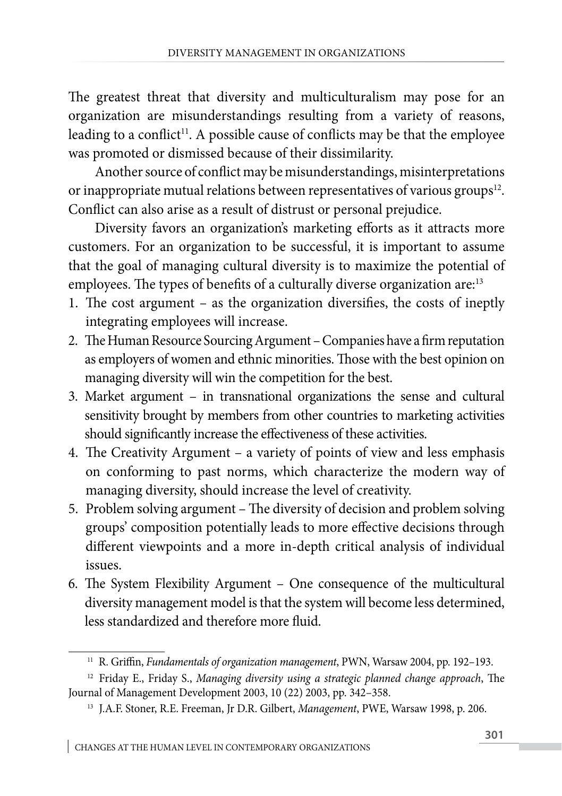The greatest threat that diversity and multiculturalism may pose for an organization are misunderstandings resulting from a variety of reasons, leading to a conflict<sup>11</sup>. A possible cause of conflicts may be that the employee was promoted or dismissed because of their dissimilarity.

Another source of conflict may be misunderstandings, misinterpretations or inappropriate mutual relations between representatives of various groups<sup>12</sup>. Conflict can also arise as a result of distrust or personal prejudice.

Diversity favors an organization's marketing efforts as it attracts more customers. For an organization to be successful, it is important to assume that the goal of managing cultural diversity is to maximize the potential of employees. The types of benefits of a culturally diverse organization are:<sup>13</sup>

- 1. The cost argument as the organization diversifies, the costs of ineptly integrating employees will increase.
- 2. The Human Resource Sourcing Argument Companies have a firm reputation as employers of women and ethnic minorities. Those with the best opinion on managing diversity will win the competition for the best.
- 3. Market argument in transnational organizations the sense and cultural sensitivity brought by members from other countries to marketing activities should significantly increase the effectiveness of these activities.
- 4. The Creativity Argument a variety of points of view and less emphasis on conforming to past norms, which characterize the modern way of managing diversity, should increase the level of creativity.
- 5. Problem solving argument The diversity of decision and problem solving groups' composition potentially leads to more effective decisions through different viewpoints and a more in-depth critical analysis of individual issues.
- 6. The System Flexibility Argument One consequence of the multicultural diversity management model is that the system will become less determined, less standardized and therefore more fluid.

<sup>11</sup> R. Griffin, *Fundamentals of organization management*, PWN, Warsaw 2004, pp. 192–193.

<sup>12</sup> Friday E., Friday S., *Managing diversity using a strategic planned change approach*, The Journal of Management Development 2003, 10 (22) 2003, pp. 342–358.

<sup>13</sup> J.A.F. Stoner, R.E. Freeman, Jr D.R. Gilbert, *Management*, PWE, Warsaw 1998, p. 206.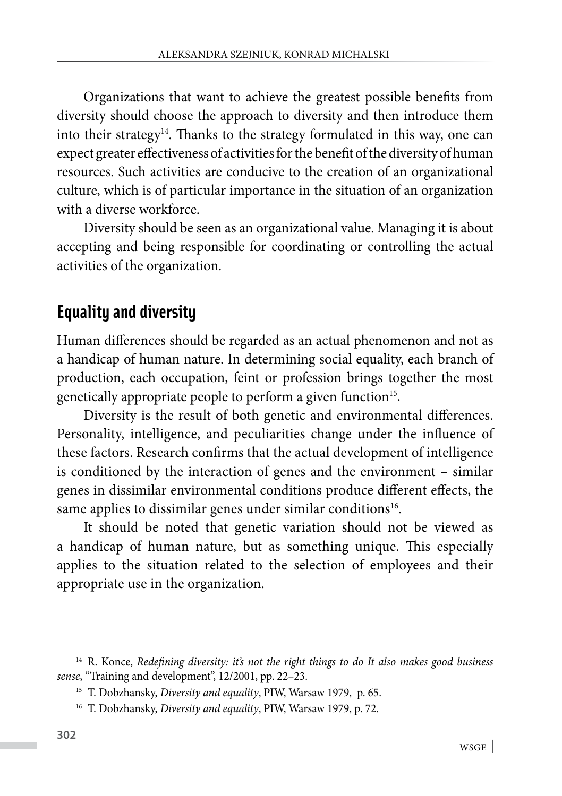Organizations that want to achieve the greatest possible benefits from diversity should choose the approach to diversity and then introduce them into their strategy<sup>14</sup>. Thanks to the strategy formulated in this way, one can expect greater effectiveness of activities for the benefit of the diversity of human resources. Such activities are conducive to the creation of an organizational culture, which is of particular importance in the situation of an organization with a diverse workforce.

Diversity should be seen as an organizational value. Managing it is about accepting and being responsible for coordinating or controlling the actual activities of the organization.

#### **Equality and diversity**

Human differences should be regarded as an actual phenomenon and not as a handicap of human nature. In determining social equality, each branch of production, each occupation, feint or profession brings together the most genetically appropriate people to perform a given function<sup>15</sup>.

Diversity is the result of both genetic and environmental differences. Personality, intelligence, and peculiarities change under the influence of these factors. Research confirms that the actual development of intelligence is conditioned by the interaction of genes and the environment – similar genes in dissimilar environmental conditions produce different effects, the same applies to dissimilar genes under similar conditions<sup>16</sup>.

It should be noted that genetic variation should not be viewed as a handicap of human nature, but as something unique. This especially applies to the situation related to the selection of employees and their appropriate use in the organization.

<sup>14</sup> R. Konce, *Redefining diversity: it's not the right things to do It also makes good business sense*, "Training and development", 12/2001, pp. 22–23.

<sup>15</sup> T. Dobzhansky, *Diversity and equality*, PIW, Warsaw 1979, p. 65.

<sup>16</sup> T. Dobzhansky, *Diversity and equality*, PIW, Warsaw 1979, p. 72.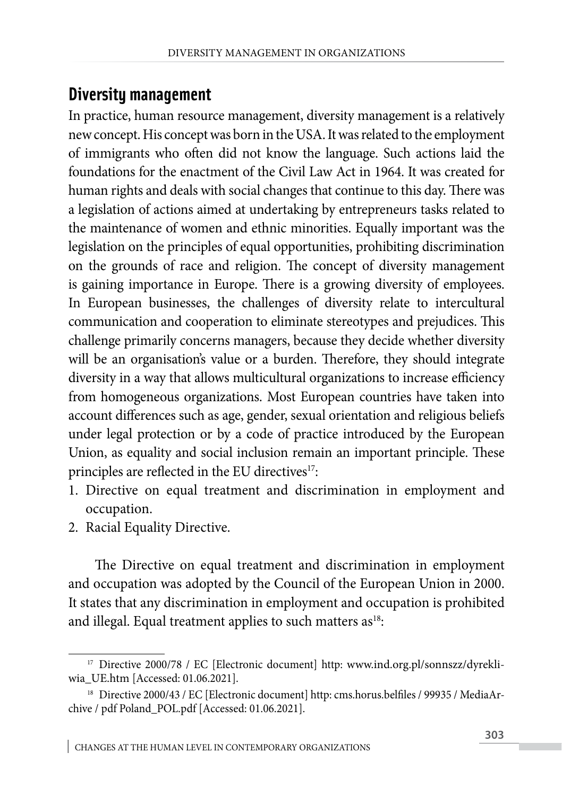#### **Diversity management**

In practice, human resource management, diversity management is a relatively new concept. His concept was born in the USA. It was related to the employment of immigrants who often did not know the language. Such actions laid the foundations for the enactment of the Civil Law Act in 1964. It was created for human rights and deals with social changes that continue to this day. There was a legislation of actions aimed at undertaking by entrepreneurs tasks related to the maintenance of women and ethnic minorities. Equally important was the legislation on the principles of equal opportunities, prohibiting discrimination on the grounds of race and religion. The concept of diversity management is gaining importance in Europe. There is a growing diversity of employees. In European businesses, the challenges of diversity relate to intercultural communication and cooperation to eliminate stereotypes and prejudices. This challenge primarily concerns managers, because they decide whether diversity will be an organisation's value or a burden. Therefore, they should integrate diversity in a way that allows multicultural organizations to increase efficiency from homogeneous organizations. Most European countries have taken into account differences such as age, gender, sexual orientation and religious beliefs under legal protection or by a code of practice introduced by the European Union, as equality and social inclusion remain an important principle. These principles are reflected in the EU directives<sup>17</sup>:

- 1. Directive on equal treatment and discrimination in employment and occupation.
- 2. Racial Equality Directive.

The Directive on equal treatment and discrimination in employment and occupation was adopted by the Council of the European Union in 2000. It states that any discrimination in employment and occupation is prohibited and illegal. Equal treatment applies to such matters as<sup>18</sup>:

<sup>&</sup>lt;sup>17</sup> Directive 2000/78 / EC [Electronic document] http: www.ind.org.pl/sonnszz/dyrekliwia\_UE.htm [Accessed: 01.06.2021].

<sup>&</sup>lt;sup>18</sup> Directive 2000/43 / EC [Electronic document] http: cms.horus.belfiles / 99935 / MediaArchive / pdf Poland\_POL.pdf [Accessed: 01.06.2021].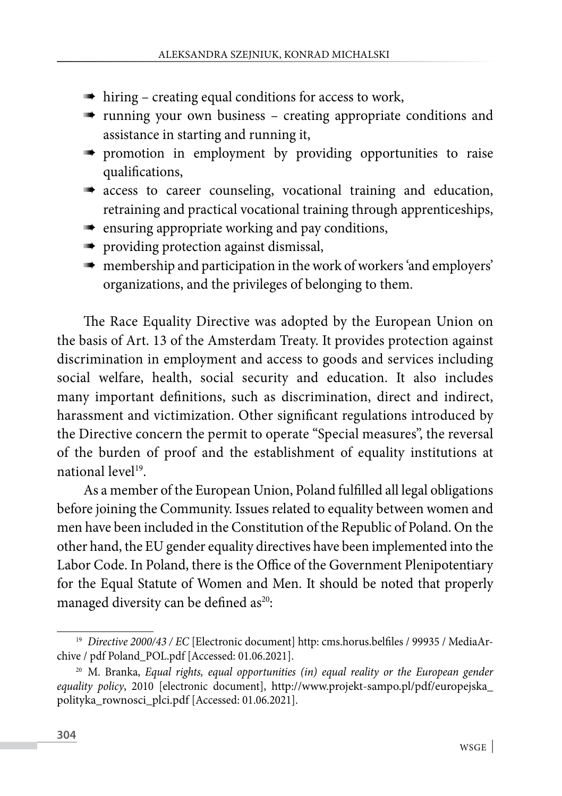- $\Rightarrow$  hiring creating equal conditions for access to work,
- **running** your own business creating appropriate conditions and assistance in starting and running it,
- **promotion** in employment by providing opportunities to raise qualifications,
- **a** access to career counseling, vocational training and education, retraining and practical vocational training through apprenticeships,
- $\blacksquare$  ensuring appropriate working and pay conditions,
- **providing protection against dismissal,**
- membership and participation in the work of workers 'and employers' organizations, and the privileges of belonging to them.

The Race Equality Directive was adopted by the European Union on the basis of Art. 13 of the Amsterdam Treaty. It provides protection against discrimination in employment and access to goods and services including social welfare, health, social security and education. It also includes many important definitions, such as discrimination, direct and indirect, harassment and victimization. Other significant regulations introduced by the Directive concern the permit to operate "Special measures", the reversal of the burden of proof and the establishment of equality institutions at national level<sup>19</sup>.

As a member of the European Union, Poland fulfilled all legal obligations before joining the Community. Issues related to equality between women and men have been included in the Constitution of the Republic of Poland. On the other hand, the EU gender equality directives have been implemented into the Labor Code. In Poland, there is the Office of the Government Plenipotentiary for the Equal Statute of Women and Men. It should be noted that properly managed diversity can be defined as<sup>20</sup>:

<sup>&</sup>lt;sup>19</sup> *Directive 2000/43 / EC* [Electronic document] http: cms.horus.belfiles / 99935 / MediaArchive / pdf Poland\_POL.pdf [Accessed: 01.06.2021].

<sup>&</sup>lt;sup>20</sup> M. Branka, *Equal rights, equal opportunities (in) equal reality or the European gender equality policy*, 2010 [electronic document], http://www.projekt-sampo.pl/pdf/europejska\_ polityka\_rownosci\_plci.pdf [Accessed: 01.06.2021].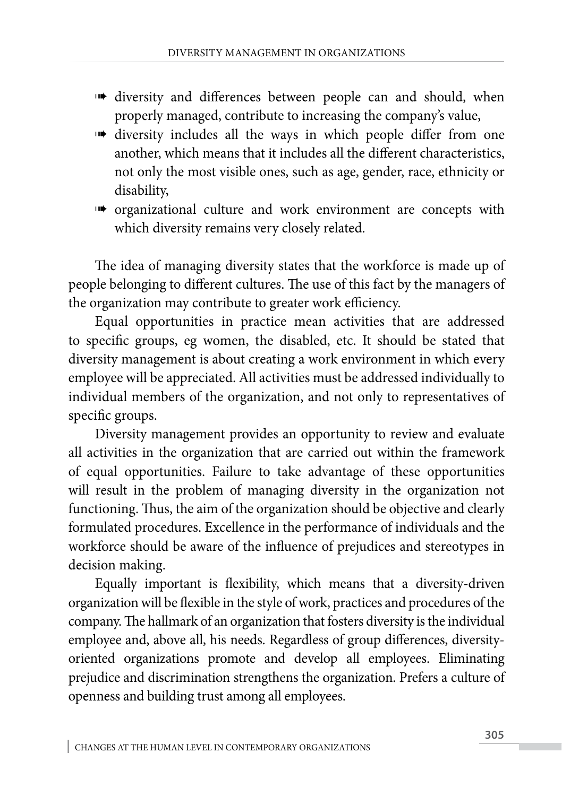- **diversity** and differences between people can and should, when properly managed, contribute to increasing the company's value,
- diversity includes all the ways in which people differ from one another, which means that it includes all the different characteristics, not only the most visible ones, such as age, gender, race, ethnicity or disability,
- organizational culture and work environment are concepts with which diversity remains very closely related.

The idea of managing diversity states that the workforce is made up of people belonging to different cultures. The use of this fact by the managers of the organization may contribute to greater work efficiency.

Equal opportunities in practice mean activities that are addressed to specific groups, eg women, the disabled, etc. It should be stated that diversity management is about creating a work environment in which every employee will be appreciated. All activities must be addressed individually to individual members of the organization, and not only to representatives of specific groups.

Diversity management provides an opportunity to review and evaluate all activities in the organization that are carried out within the framework of equal opportunities. Failure to take advantage of these opportunities will result in the problem of managing diversity in the organization not functioning. Thus, the aim of the organization should be objective and clearly formulated procedures. Excellence in the performance of individuals and the workforce should be aware of the influence of prejudices and stereotypes in decision making.

Equally important is flexibility, which means that a diversity-driven organization will be flexible in the style of work, practices and procedures of the company. The hallmark of an organization that fosters diversity is the individual employee and, above all, his needs. Regardless of group differences, diversityoriented organizations promote and develop all employees. Eliminating prejudice and discrimination strengthens the organization. Prefers a culture of openness and building trust among all employees.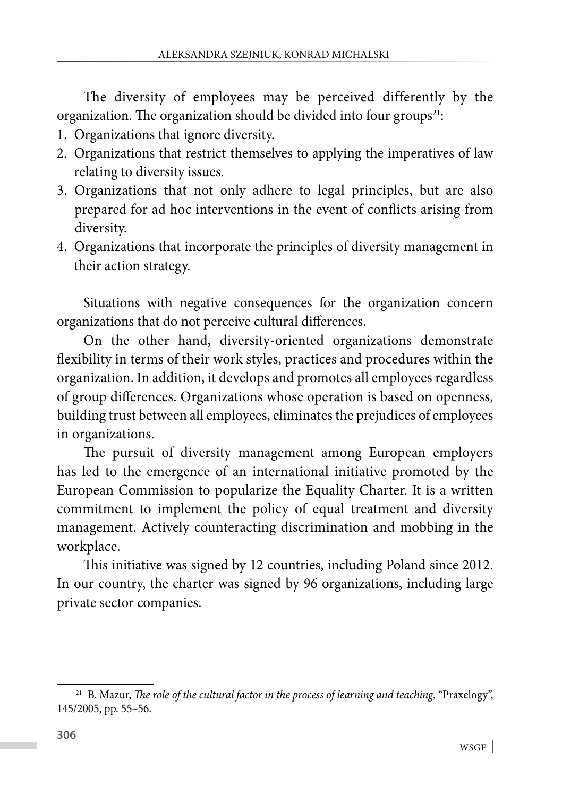The diversity of employees may be perceived differently by the organization. The organization should be divided into four groups<sup>21</sup>:

- 1. Organizations that ignore diversity.
- 2. Organizations that restrict themselves to applying the imperatives of law relating to diversity issues.
- 3. Organizations that not only adhere to legal principles, but are also prepared for ad hoc interventions in the event of conflicts arising from diversity.
- 4. Organizations that incorporate the principles of diversity management in their action strategy.

Situations with negative consequences for the organization concern organizations that do not perceive cultural differences.

On the other hand, diversity-oriented organizations demonstrate flexibility in terms of their work styles, practices and procedures within the organization. In addition, it develops and promotes all employees regardless of group differences. Organizations whose operation is based on openness, building trust between all employees, eliminates the prejudices of employees in organizations.

The pursuit of diversity management among European employers has led to the emergence of an international initiative promoted by the European Commission to popularize the Equality Charter. It is a written commitment to implement the policy of equal treatment and diversity management. Actively counteracting discrimination and mobbing in the workplace.

This initiative was signed by 12 countries, including Poland since 2012. In our country, the charter was signed by 96 organizations, including large private sector companies.

<sup>&</sup>lt;sup>21</sup> B. Mazur, *The role of the cultural factor in the process of learning and teaching*, "Praxelogy", 145/2005, pp. 55–56.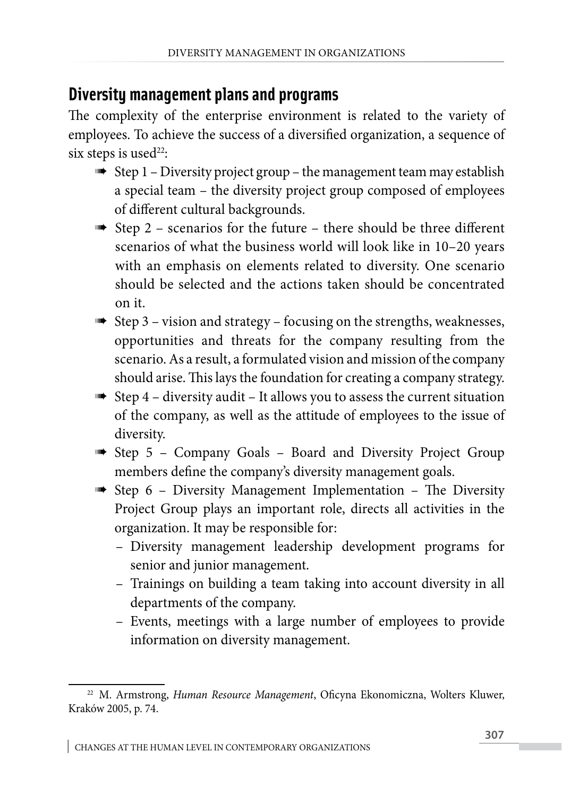#### **Diversity management plans and programs**

The complexity of the enterprise environment is related to the variety of employees. To achieve the success of a diversified organization, a sequence of six steps is used<sup>22</sup>:

- $\Rightarrow$  Step 1 Diversity project group the management team may establish a special team – the diversity project group composed of employees of different cultural backgrounds.
- $\Rightarrow$  Step 2 scenarios for the future there should be three different scenarios of what the business world will look like in 10–20 years with an emphasis on elements related to diversity. One scenario should be selected and the actions taken should be concentrated on it.
- $\Rightarrow$  Step 3 vision and strategy focusing on the strengths, weaknesses, opportunities and threats for the company resulting from the scenario. As a result, a formulated vision and mission of the company should arise. This lays the foundation for creating a company strategy.
- $\Rightarrow$  Step 4 diversity audit It allows you to assess the current situation of the company, as well as the attitude of employees to the issue of diversity.
- **Step 5 Company Goals Board and Diversity Project Group** members define the company's diversity management goals.
- **Step 6 Diversity Management Implementation The Diversity** Project Group plays an important role, directs all activities in the organization. It may be responsible for:
	- Diversity management leadership development programs for senior and junior management.
	- Trainings on building a team taking into account diversity in all departments of the company.
	- Events, meetings with a large number of employees to provide information on diversity management.

<sup>22</sup> M. Armstrong, *Human Resource Management*, Oficyna Ekonomiczna, Wolters Kluwer, Kraków 2005, p. 74.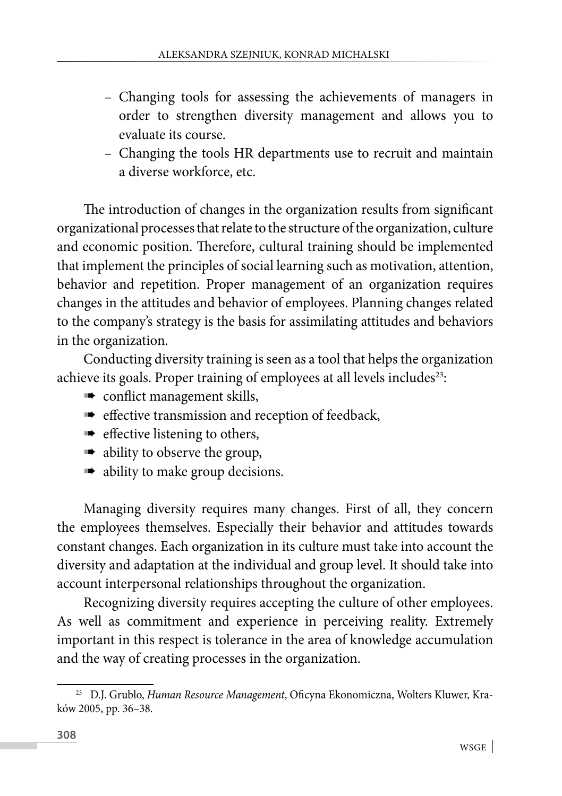- Changing tools for assessing the achievements of managers in order to strengthen diversity management and allows you to evaluate its course.
- Changing the tools HR departments use to recruit and maintain a diverse workforce, etc.

The introduction of changes in the organization results from significant organizational processes that relate to the structure of the organization, culture and economic position. Therefore, cultural training should be implemented that implement the principles of social learning such as motivation, attention, behavior and repetition. Proper management of an organization requires changes in the attitudes and behavior of employees. Planning changes related to the company's strategy is the basis for assimilating attitudes and behaviors in the organization.

Conducting diversity training is seen as a tool that helps the organization achieve its goals. Proper training of employees at all levels includes<sup>23</sup>:

- $\blacksquare$  conflict management skills,
- $\blacksquare$  effective transmission and reception of feedback,
- $\Rightarrow$  effective listening to others,
- ability to observe the group,
- ability to make group decisions.

Managing diversity requires many changes. First of all, they concern the employees themselves. Especially their behavior and attitudes towards constant changes. Each organization in its culture must take into account the diversity and adaptation at the individual and group level. It should take into account interpersonal relationships throughout the organization.

Recognizing diversity requires accepting the culture of other employees. As well as commitment and experience in perceiving reality. Extremely important in this respect is tolerance in the area of knowledge accumulation and the way of creating processes in the organization.

<sup>23</sup> D.J. Grublo, *Human Resource Management*, Oficyna Ekonomiczna, Wolters Kluwer, Kraków 2005, pp. 36–38.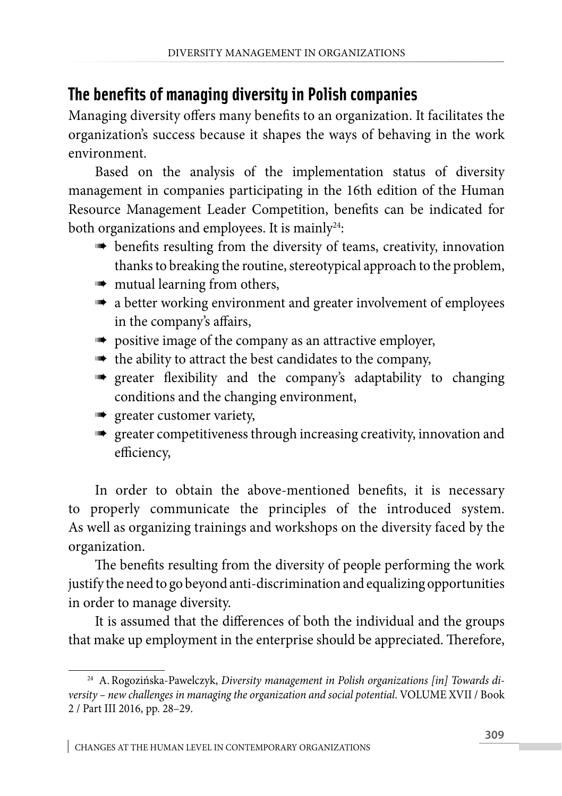### **The benefits of managing diversity in Polish companies**

Managing diversity offers many benefits to an organization. It facilitates the organization's success because it shapes the ways of behaving in the work environment.

Based on the analysis of the implementation status of diversity management in companies participating in the 16th edition of the Human Resource Management Leader Competition, benefits can be indicated for both organizations and employees. It is mainly<sup>24</sup>:

- **benefits resulting from the diversity of teams, creativity, innovation** thanks to breaking the routine, stereotypical approach to the problem,
- **mutual learning from others,**
- $\blacksquare$  a better working environment and greater involvement of employees in the company's affairs,
- **DED** positive image of the company as an attractive employer,
- **the ability to attract the best candidates to the company,**
- **s** greater flexibility and the company's adaptability to changing conditions and the changing environment,
- **sum** greater customer variety,
- **EXECUTE:** greater competitiveness through increasing creativity, innovation and efficiency,

In order to obtain the above-mentioned benefits, it is necessary to properly communicate the principles of the introduced system. As well as organizing trainings and workshops on the diversity faced by the organization.

The benefits resulting from the diversity of people performing the work justify the need to go beyond anti-discrimination and equalizing opportunities in order to manage diversity.

It is assumed that the differences of both the individual and the groups that make up employment in the enterprise should be appreciated. Therefore,

<sup>&</sup>lt;sup>24</sup> A. Rogozińska-Pawelczyk, Diversity management in Polish organizations [in] Towards di*versity – new challenges in managing the organization and social potential*. VOLUME XVII / Book 2 / Part III 2016, pp. 28–29.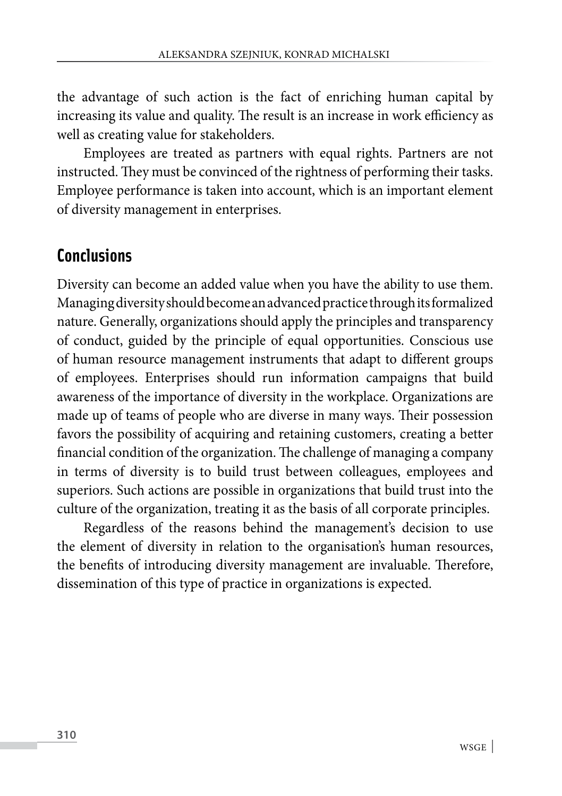the advantage of such action is the fact of enriching human capital by increasing its value and quality. The result is an increase in work efficiency as well as creating value for stakeholders.

Employees are treated as partners with equal rights. Partners are not instructed. They must be convinced of the rightness of performing their tasks. Employee performance is taken into account, which is an important element of diversity management in enterprises.

#### **Conclusions**

Diversity can become an added value when you have the ability to use them. Managing diversity should become an advanced practice through its formalized nature. Generally, organizations should apply the principles and transparency of conduct, guided by the principle of equal opportunities. Conscious use of human resource management instruments that adapt to different groups of employees. Enterprises should run information campaigns that build awareness of the importance of diversity in the workplace. Organizations are made up of teams of people who are diverse in many ways. Their possession favors the possibility of acquiring and retaining customers, creating a better financial condition of the organization. The challenge of managing a company in terms of diversity is to build trust between colleagues, employees and superiors. Such actions are possible in organizations that build trust into the culture of the organization, treating it as the basis of all corporate principles.

Regardless of the reasons behind the management's decision to use the element of diversity in relation to the organisation's human resources, the benefits of introducing diversity management are invaluable. Therefore, dissemination of this type of practice in organizations is expected.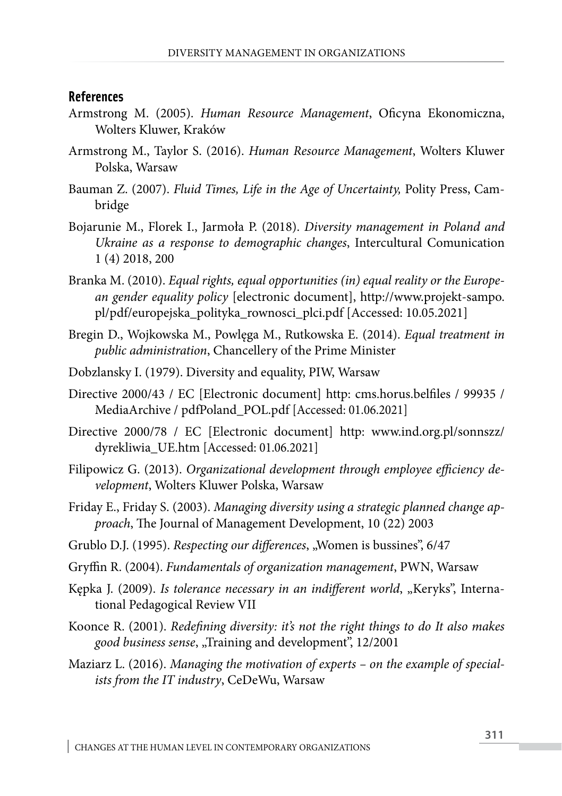#### **References**

- Armstrong M. (2005). *Human Resource Management*, Oficyna Ekonomiczna, Wolters Kluwer, Kraków
- Armstrong M., Taylor S. (2016). *Human Resource Management*, Wolters Kluwer Polska, Warsaw
- Bauman Z. (2007). *Fluid Times, Life in the Age of Uncertainty,* Polity Press, Cambridge
- Bojarunie M., Florek I., Jarmoła P. (2018). *Diversity management in Poland and Ukraine as a response to demographic changes*, Intercultural Comunication 1 (4) 2018, 200
- Branka M. (2010). *Equal rights, equal opportunities (in) equal reality or the European gender equality policy* [electronic document], http://www.projekt-sampo. pl/pdf/europejska\_polityka\_rownosci\_plci.pdf [Accessed: 10.05.2021]
- Bregin D., Wojkowska M., Powlęga M., Rutkowska E. (2014). *Equal treatment in public administration*, Chancellery of the Prime Minister
- Dobzlansky I. (1979). Diversity and equality, PIW, Warsaw
- Directive 2000/43 / EC [Electronic document] http: cms.horus.belfiles / 99935 / MediaArchive / pdfPoland POL.pdf [Accessed: 01.06.2021]
- Directive 2000/78 / EC [Electronic document] http: [www.ind.org.pl/sonnszz/](http://www.ind.org.pl/sonnszz/dyrekliwia_UE.htm) [dyrekliwia\\_UE.htm](http://www.ind.org.pl/sonnszz/dyrekliwia_UE.htm) [Accessed: 01.06.2021]
- Filipowicz G. (2013). *Organizational development through employee efficiency development*, Wolters Kluwer Polska, Warsaw
- Friday E., Friday S. (2003). *Managing diversity using a strategic planned change approach*, The Journal of Management Development, 10 (22) 2003
- Grublo D.J. (1995). *Respecting our differences*, "Women is bussines", 6/47
- Gryffin R. (2004). *Fundamentals of organization management*, PWN, Warsaw
- Kępka J. (2009). *Is tolerance necessary in an indifferent world*, "Keryks", International Pedagogical Review VII
- Koonce R. (2001). *Redefining diversity: it's not the right things to do It also makes good business sense*, "Training and development", 12/2001
- Maziarz L. (2016). *Managing the motivation of experts on the example of specialists from the IT industry*, CeDeWu, Warsaw